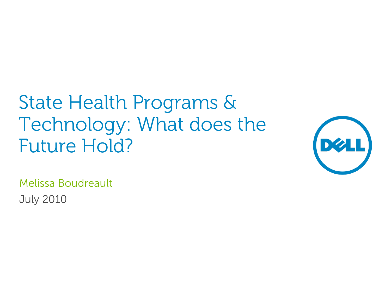State Health Programs & Technology: What does the Future Hold?



Melissa Boudreault July 2010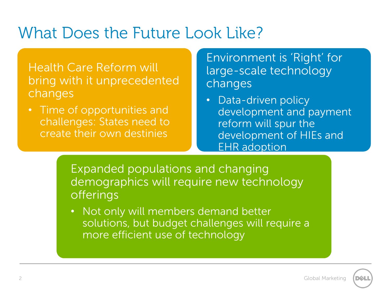#### What Does the Future Look Like?

#### Health Care Reform will bring with it unprecedented changes

• Time of opportunities and challenges: States need to create their own destinies

#### Environment is 'Right' for large-scale technology changes

• Data-driven policy development and payment reform will spur the development of HIEs and EHR adoption

Expanded populations and changing demographics will require new technology offerings

• Not only will members demand better solutions, but budget challenges will require a more efficient use of technology

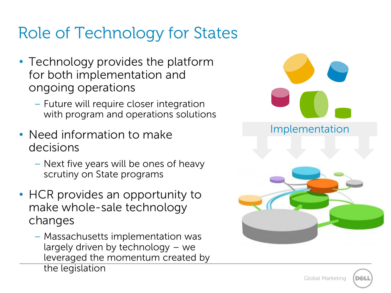# Role of Technology for States

- Technology provides the platform for both implementation and ongoing operations
	- Future will require closer integration with program and operations solutions
- Need information to make decisions
	- Next five years will be ones of heavy scrutiny on State programs
- HCR provides an opportunity to make whole-sale technology changes
	- Massachusetts implementation was largely driven by technology – we leveraged the momentum created by the legislation

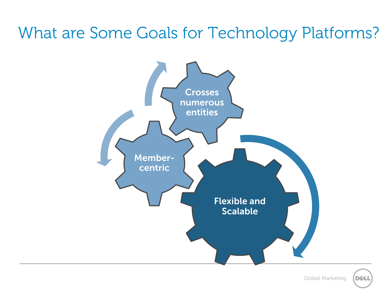### What are Some Goals for Technology Platforms?



Global Marketing

DØL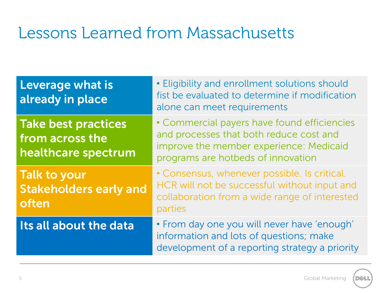## Lessons Learned from Massachusetts

| Leverage what is<br>already in place                                 | • Eligibility and enrollment solutions should<br>fist be evaluated to determine if modification<br>alone can meet requirements                                          |
|----------------------------------------------------------------------|-------------------------------------------------------------------------------------------------------------------------------------------------------------------------|
| <b>Take best practices</b><br>from across the<br>healthcare spectrum | • Commercial payers have found efficiencies<br>and processes that both reduce cost and<br>improve the member experience: Medicaid<br>programs are hotbeds of innovation |
| <b>Talk to your</b><br><b>Stakeholders early and</b><br>often        | • Consensus, whenever possible. Is critical.<br>HCR will not be successful without input and<br>collaboration from a wide range of interested<br>parties                |
| Its all about the data                                               | . From day one you will never have 'enough'<br>information and lots of questions; make<br>development of a reporting strategy a priority                                |

**DØL**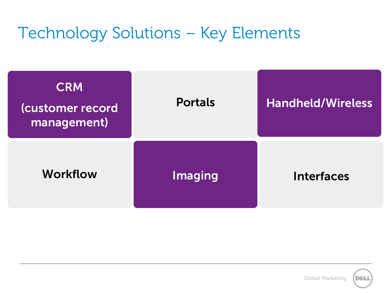## Technology Solutions – Key Elements

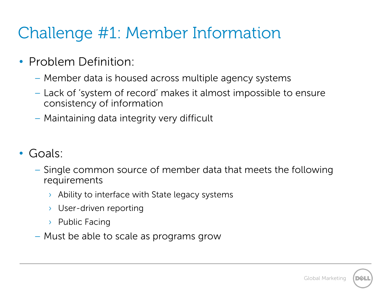# Challenge #1: Member Information

- Problem Definition:
	- Member data is housed across multiple agency systems
	- Lack of 'system of record' makes it almost impossible to ensure consistency of information
	- Maintaining data integrity very difficult
- Goals:
	- Single common source of member data that meets the following requirements
		- $\rightarrow$  Ability to interface with State legacy systems
		- › User-driven reporting
		- › Public Facing
	- Must be able to scale as programs grow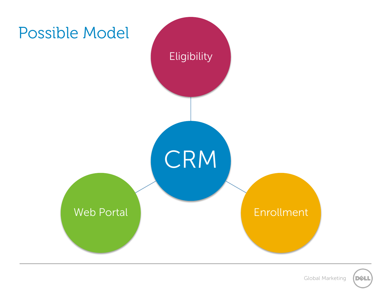

Global Marketing

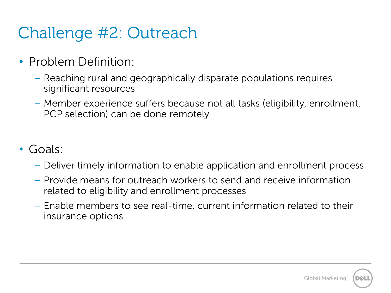# Challenge #2: Outreach

- Problem Definition:
	- Reaching rural and geographically disparate populations requires significant resources
	- Member experience suffers because not all tasks (eligibility, enrollment, PCP selection) can be done remotely
- Goals:
	- Deliver timely information to enable application and enrollment process
	- Provide means for outreach workers to send and receive information related to eligibility and enrollment processes
	- Enable members to see real-time, current information related to their insurance options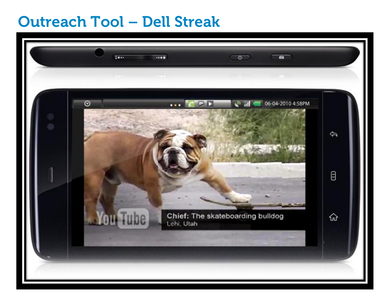#### **Outreach Tool – Dell Streak**